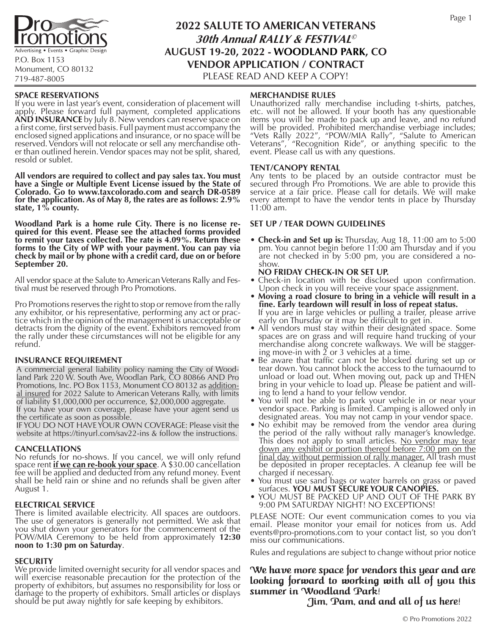

P.O. Box 1153 Monument, CO 80132 719-487-8005

# **2022 SALUTE TO AMERICAN VETERANS 30th Annual RALLY & FESTIVAL© AUGUST 19-20, 2022 - WOODLAND PARK, CO VENDOR APPLICATION / CONTRACT**

PLEASE READ AND KEEP A COPY!

#### **SPACE RESERVATIONS**

If you were in last year's event, consideration of placement will apply. Please forward full payment, completed applications **AND INSURANCE** by July 8. New vendors can reserve space on<br>a first come, first served basis. Full payment must accompany the a first come, first served basis. Full payment must accompany the enclosed signed applications and insurance, or no space will be reserved. Vendors will not relocate or sell any merchandise oth-<br>er than outlined herein. Vendor spaces may not be split, shared, resold or sublet.

**All vendors are required to collect and pay sales tax. You must have a Single or Multiple Event License issued by the State of Colorado. Go to www.taxcolorado.com and search DR-0589 for the application. As of May 8, the rates are as follows: 2.9% state, 1% county.**

**Woodland Park is a home rule City. There is no license re- quired for this event. Please see the attached forms provided to remit your taxes collected. The rate is 4.09%. Return these**  forms to the City of WP with your payment. You can pay via **check by mail or by phone with a credit card, due on or before September 20.**

All vendor space at the Salute to American Veterans Rally and Fes- tival must be reserved through Pro Promotions.

Pro Promotions reserves the right to stop or remove from the rally any exhibitor, or his representative, performing any act or practice which in the opinion of the management is unacceptable or detracts from the dignity of the event. Exhibitors removed from the rally under these circumstances will not be eligible for any refund.

#### **INSURANCE REQUIREMENT**

A commercial general liability policy naming the City of Woodland Park 220 W. South Ave, Woodlan Park, CO 80866 AND Pro Promotions, Inc. PO Box 1153, Monument CO 80132 as additional insured for 2022 Salute to American Veterans Rally, with limits of liability \$1,000,000 per occurrence, \$2,000,000 aggregate.

If you have your own coverage, please have your agent send us the certificate as soon as possible.

IF YOU DO NOT HAVE YOUR OWN COVERAGE: Please visit the website at https://tinyurl.com/sav22-ins & follow the instructions.

#### **CANCELLATIONS**

No refunds for no-shows. If you cancel, we will only refund space rent *if we can re-book your space*. A \$30.00 cancellation fee will be applied and deducted from any refund money. Event shall be held rain or shine and no refunds shall be given after August 1.

#### **ELECTRICAL SERVICE**

There is limited available electricity. All spaces are outdoors. The use of generators is generally not permitted. We ask that you shut down your generators for the commencement of the POW/MIA Ceremony to be held from approximately **12:30 noon to 1:30 pm on Saturday**.

#### **SECURITY**

We provide limited overnight security for all vendor spaces and will exercise reasonable precaution for the protection of the property of exhibitors, but assumes no responsibility for loss or damage to the property of exhibitors. Small articles or displays should be put away nightly for safe keeping by exhibitors.

#### **MERCHANDISE RULES**

Unauthorized rally merchandise including t-shirts, patches, etc. will not be allowed. If your booth has any questionable items you will be made to pack up and leave, and no refund will be provided. Prohibited merchandise verbiage includes; "Vets Rally 2022", "POW/MIA Rally", "Salute to American Veterans", "Recognition Ride", or anything specific to the event. Please call us with any questions.

#### **TENT/CANOPY RENTAL**

Any tents to be placed by an outside contractor must be secured through Pro Promotions. We are able to provide this service at a fair price. Please call for details. We will make every attempt to have the vendor tents in place by Thursday 11:00 am.

#### **SET UP / TEAR DOWN GUIDELINES**

• **Check-in and Set up is:** Thursday, Aug 18, 11:00 am to 5:00 pm. You cannot begin before 11:00 am Thursday and if you are not checked in by 5:00 pm, you are considered a no-

# show.<br>**NO FRIDAY CHECK-IN OR SET UP.**

- Check-in location with be disclosed upon confirmation.<br>Upon check in you will receive your space assignment.
- Moving a road closure to bring in a vehicle will result in a **fine. Early teardown will result in loss of repeat status.** If you are in large vehicles or pulling a trailer, please arrive<br>early on Thursday or it may be difficult to get in.
- All vendors must stay within their designated space. Some spaces are on grass and will require hand trucking of your merchandise along concrete walkways. We will be staggering move-in with  $\check{2}$  or 3 vehicles at a time.<br>• Be aware that traffic can not be blocked during set up or
- tear down. You cannot block the access to the turnaournd to unload or load out. When moving out, pack up and THEN bring in your vehicle to load up. Please be patient and will-
- ing to lend a hand to your fellow vendor.<br>• You will- not be able to park your vehicle in or near your vendor space. Parking is limited. Camping is allowed only in
- No exhibit may be removed from the vendor area during. the period of the rally without rally manager's knowledge.<br>This does not apply to small articles. No vendor may tear This does not apply to small articles. <u>No vendor may tear</u><br>down any exhibit or portion thereof before 7:00 pm on the <u>final day without permission of rally manager.</u> All trash must be deposited in proper receptacles. A cleanup fee will be charged if necessary.
- You must use sand bags or water barrels on grass or paved surfaces. YOU MUST SECURE YOUR CANOPIES.
- **YOU MUST BE PACKED UP AND OUT OF THE PARK BY** 9:00 PM SATURDAY NIGHT! NO EXCEPTIONS!

PLEASE NOTE: Our event communication comes to you via email. Please monitor your email for notices from us. Add events@pro-promotions.com to your contact list, so you don't miss our communications.

Rules and regulations are subject to change without prior notice

We have more space for vendors this year and are looking forward to working with all of you this summer in Woodland Park!

Jim, Pam, and and all of us here!